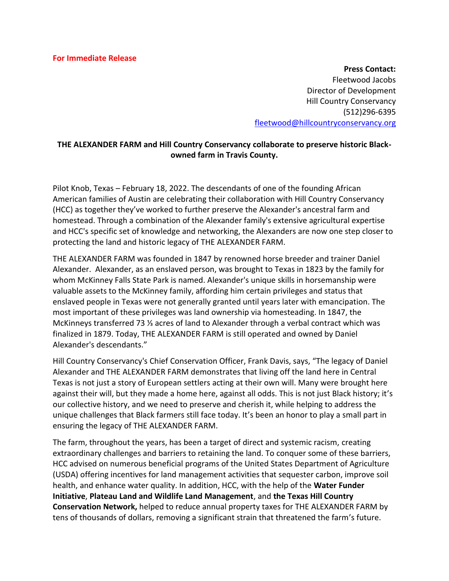**Press Contact:**  Fleetwood Jacobs Director of Development Hill Country Conservancy (512)296-6395 [fleetwood@hillcountryconservancy.org](mailto:fleetwood@hillcountryconservancy.org)

## **THE ALEXANDER FARM and Hill Country Conservancy collaborate to preserve historic Blackowned farm in Travis County.**

Pilot Knob, Texas – February 18, 2022. The descendants of one of the founding African American families of Austin are celebrating their collaboration with Hill Country Conservancy (HCC) as together they've worked to further preserve the Alexander's ancestral farm and homestead. Through a combination of the Alexander family's extensive agricultural expertise and HCC's specific set of knowledge and networking, the Alexanders are now one step closer to protecting the land and historic legacy of THE ALEXANDER FARM.

THE ALEXANDER FARM was founded in 1847 by renowned horse breeder and trainer Daniel Alexander. Alexander, as an enslaved person, was brought to Texas in 1823 by the family for whom McKinney Falls State Park is named. Alexander's unique skills in horsemanship were valuable assets to the McKinney family, affording him certain privileges and status that enslaved people in Texas were not generally granted until years later with emancipation. The most important of these privileges was land ownership via homesteading. In 1847, the McKinneys transferred 73 ⅓ acres of land to Alexander through a verbal contract which was finalized in 1879. Today, THE ALEXANDER FARM is still operated and owned by Daniel Alexander's descendants."

Hill Country Conservancy's Chief Conservation Officer, Frank Davis, says, "The legacy of Daniel Alexander and THE ALEXANDER FARM demonstrates that living off the land here in Central Texas is not just a story of European settlers acting at their own will. Many were brought here against their will, but they made a home here, against all odds. This is not just Black history; it's our collective history, and we need to preserve and cherish it, while helping to address the unique challenges that Black farmers still face today. It's been an honor to play a small part in ensuring the legacy of THE ALEXANDER FARM.

The farm, throughout the years, has been a target of direct and systemic racism, creating extraordinary challenges and barriers to retaining the land. To conquer some of these barriers, HCC advised on numerous beneficial programs of the United States Department of Agriculture (USDA) offering incentives for land management activities that sequester carbon, improve soil health, and enhance water quality. In addition, HCC, with the help of the **Water Funder Initiative**, **Plateau Land and Wildlife Land Management**, and **the Texas Hill Country Conservation Network,** helped to reduce annual property taxes for THE ALEXANDER FARM by tens of thousands of dollars, removing a significant strain that threatened the farm's future.